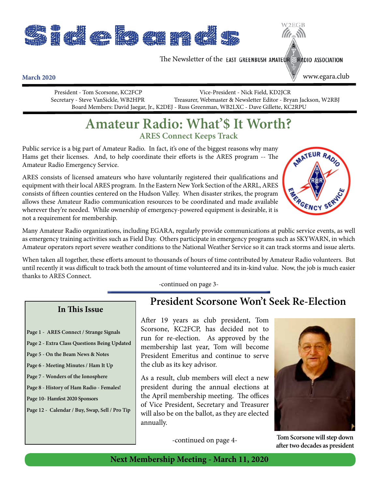

The Newsletter of the EAST GREENBUSH AMATEUR S RADIO ASSOCIATION

**March 2020**

 President - Tom Scorsone, KC2FCP Vice-President - Nick Field, KD2JCR Secretary - Steve VanSickle, WB2HPR Treasurer, Webmaster & Newsletter Editor - Bryan Jackson, W2RBJ Board Members: David Jaegar, Jr., K2DEJ - Russ Greenman, WB2LXC - Dave Gillette, KC2RPU

### **Amateur Radio: What'\$ It Worth? ARES Connect Keeps Track**

Public service is a big part of Amateur Radio. In fact, it's one of the biggest reasons why many Hams get their licenses. And, to help coordinate their efforts is the ARES program -- The Amateur Radio Emergency Service.

ARES consists of licensed amateurs who have voluntarily registered their qualifications and equipment with their local ARES program. In the Eastern New York Section of the ARRL, ARES consists of fifteen counties centered on the Hudson Valley. When disaster strikes, the program allows these Amateur Radio communication resources to be coordinated and made available wherever they're needed. While ownership of emergency-powered equipment is desirable, it is not a requirement for membership.



www.egara.club

2EGB

Many Amateur Radio organizations, including EGARA, regularly provide communications at public service events, as well as emergency training activities such as Field Day. Others participate in emergency programs such as SKYWARN, in which Amateur operators report severe weather conditions to the National Weather Service so it can track storms and issue alerts.

When taken all together, these efforts amount to thousands of hours of time contributed by Amateur Radio volunteers. But until recently it was difficult to track both the amount of time volunteered and its in-kind value. Now, the job is much easier thanks to ARES Connect.

-continued on page 3-

### **In This Issue**

- **Page 1 ARES Connect / Strange Signals**
- **Page 2 Extra Class Questions Being Updated**
- **Page 5 On the Beam News & Notes**
- **Page 6 Meeting Minutes / Ham It Up**
- **Page 7 Wonders of the Ionosphere**
- **Page 8 History of Ham Radio Females!**
- **Page 10- Hamfest 2020 Sponsors**

**Page 12 - Calendar / Buy, Swap, Sell / Pro Tip**

### **President Scorsone Won't Seek Re-Election**

After 19 years as club president, Tom Scorsone, KC2FCP, has decided not to run for re-election. As approved by the membership last year, Tom will become President Emeritus and continue to serve the club as its key advisor.

As a result, club members will elect a new president during the annual elections at the April membership meeting. The offices of Vice President, Secretary and Treasurer will also be on the ballot, as they are elected annually.

-continued on page 4-



**Tom Scorsone will step down after two decades as president**

**Next Membership Meeting - March 11, 2020**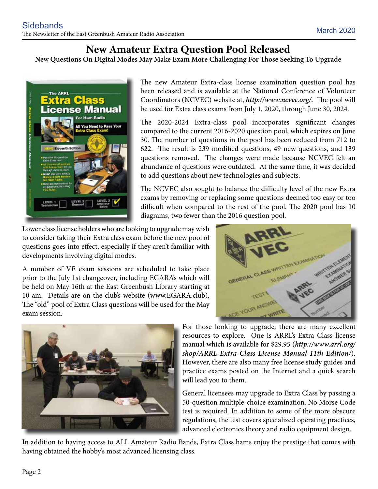## **New Amateur Extra Question Pool Released**

**New Questions On Digital Modes May Make Exam More Challenging For Those Seeking To Upgrade**



The new Amateur Extra-class license examination question pool has been released and is available at the National Conference of Volunteer Coordinators (NCVEC) website at, *http://www.ncvec.org/.* The pool will be used for Extra class exams from July 1, 2020, through June 30, 2024.

The 2020-2024 Extra-class pool incorporates significant changes compared to the current 2016-2020 question pool, which expires on June 30. The number of questions in the pool has been reduced from 712 to 622. The result is 239 modified questions, 49 new questions, and 139 questions removed. The changes were made because NCVEC felt an abundance of questions were outdated. At the same time, it was decided to add questions about new technologies and subjects.

The NCVEC also sought to balance the difficulty level of the new Extra exams by removing or replacing some questions deemed too easy or too difficult when compared to the rest of the pool. The 2020 pool has 10 diagrams, two fewer than the 2016 question pool.

Lower class license holders who are looking to upgrade may wish to consider taking their Extra class exam before the new pool of questions goes into effect, especially if they aren't familiar with developments involving digital modes.

A number of VE exam sessions are scheduled to take place prior to the July 1st changeover, including EGARA's which will be held on May 16th at the East Greenbush Library starting at 10 am. Details are on the club's website (www.EGARA.club). The "old" pool of Extra Class questions will be used for the May exam session.





For those looking to upgrade, there are many excellent resources to explore. One is ARRL's Extra Class license manual which is available for \$29.95 (*http://www.arrl.org/ shop/ARRL-Extra-Class-License-Manual-11th-Edition/*). However, there are also many free license study guides and practice exams posted on the Internet and a quick search will lead you to them.

General licensees may upgrade to Extra Class by passing a 50-question multiple-choice examination. No Morse Code test is required. In addition to some of the more obscure regulations, the test covers specialized operating practices, advanced electronics theory and radio equipment design.

In addition to having access to ALL Amateur Radio Bands, Extra Class hams enjoy the prestige that comes with having obtained the hobby's most advanced licensing class.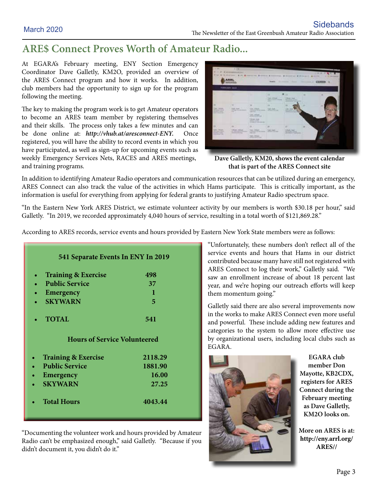### **ARE\$ Connect Proves Worth of Amateur Radio...**

At EGARA's February meeting, ENY Section Emergency Coordinator Dave Galletly, KM2O, provided an overview of the ARES Connect program and how it works. In addition, club members had the opportunity to sign up for the program following the meeting.

The key to making the program work is to get Amateur operators to become an ARES team member by registering themselves and their skills. The process only takes a few minutes and can be done online at: *http://vhub.at/aresconnect-ENY.* Once registered, you will have the ability to record events in which you have participated, as well as sign-up for upcoming events such as weekly Emergency Services Nets, RACES and ARES meetings, and training programs.



**Dave Galletly, KM20, shows the event calendar that is part of the ARES Connect site**

In addition to identifying Amateur Radio operators and communication resources that can be utilized during an emergency, ARES Connect can also track the value of the activities in which Hams participate. This is critically important, as the information is useful for everything from applying for federal grants to justifying Amateur Radio spectrum space.

"In the Eastern New York ARES District, we estimate volunteer activity by our members is worth \$30.18 per hour," said Galletly. "In 2019, we recorded approximately 4,040 hours of service, resulting in a total worth of \$121,869.28."

According to ARES records, service events and hours provided by Eastern New York State members were as follows:

| 541 Separate Events In ENY In 2019          |         |
|---------------------------------------------|---------|
| <b>Training &amp; Exercise</b><br>$\bullet$ | 498     |
| <b>Public Service</b><br>$\bullet$          | 37      |
| Emergency<br>$\bullet$                      | 1       |
| <b>SKYWARN</b>                              | 5       |
| <b>TOTAL</b>                                | 541     |
| <b>Hours of Service Volunteered</b>         |         |
| <b>Training &amp; Exercise</b>              | 2118.29 |
| <b>Public Service</b>                       | 1881.90 |
| Emergency<br>$\bullet$                      | 16.00   |
| <b>SKYWARN</b>                              | 27.25   |
| <b>Total Hours</b>                          | 4043.44 |

"Documenting the volunteer work and hours provided by Amateur Radio can't be emphasized enough," said Galletly. "Because if you didn't document it, you didn't do it."

"Unfortunately, these numbers don't reflect all of the service events and hours that Hams in our district contributed because many have still not registered with ARES Connect to log their work," Galletly said. "We saw an enrollment increase of about 18 percent last year, and we're hoping our outreach efforts will keep them momentum going."

Galletly said there are also several improvements now in the works to make ARES Connect even more useful and powerful. These include adding new features and categories to the system to allow more effective use by organizational users, including local clubs such as EGARA.



**EGARA club member Don Mayotte, KB2CDX, registers for ARES Connect during the February meeting as Dave Galletly, KM2O looks on.**

**More on ARES is at: http://eny.arrl.org/ ARES//**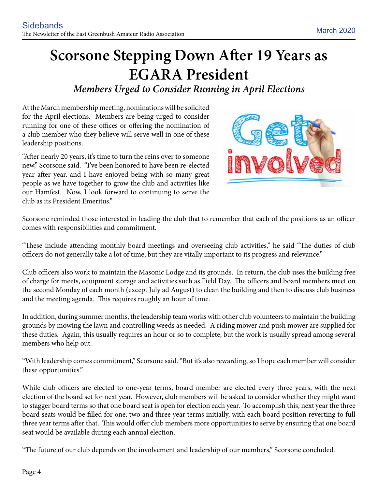## **Scorsone Stepping Down After 19 Years as EGARA President**

*Members Urged to Consider Running in April Elections*

At the March membership meeting, nominations will be solicited for the April elections. Members are being urged to consider running for one of these offices or offering the nomination of a club member who they believe will serve well in one of these leadership positions.

"After nearly 20 years, it's time to turn the reins over to someone new," Scorsone said. "I've been honored to have been re-elected year after year, and I have enjoyed being with so many great people as we have together to grow the club and activities like our Hamfest. Now, I look forward to continuing to serve the club as its President Emeritus."



Scorsone reminded those interested in leading the club that to remember that each of the positions as an officer comes with responsibilities and commitment.

"These include attending monthly board meetings and overseeing club activities," he said "The duties of club officers do not generally take a lot of time, but they are vitally important to its progress and relevance."

Club officers also work to maintain the Masonic Lodge and its grounds. In return, the club uses the building free of charge for meets, equipment storage and activities such as Field Day. The officers and board members meet on the second Monday of each month (except July ad August) to clean the building and then to discuss club business and the meeting agenda. This requires roughly an hour of time.

In addition, during summer months, the leadership team works with other club volunteers to maintain the building grounds by mowing the lawn and controlling weeds as needed. A riding mower and push mower are supplied for these duties. Again, this usually requires an hour or so to complete, but the work is usually spread among several members who help out.

"With leadership comes commitment," Scorsone said. "But it's also rewarding, so I hope each member will consider these opportunities."

While club officers are elected to one-year terms, board member are elected every three years, with the next election of the board set for next year. However, club members will be asked to consider whether they might want to stagger board terms so that one board seat is open for election each year. To accomplish this, next year the three board seats would be filled for one, two and three year terms initially, with each board position reverting to full three year terms after that. This would offer club members more opportunities to serve by ensuring that one board seat would be available during each annual election.

"The future of our club depends on the involvement and leadership of our members," Scorsone concluded.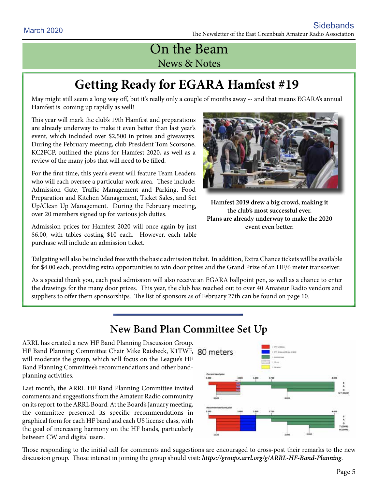## On the Beam News & Notes

## **Getting Ready for EGARA Hamfest #19**

May might still seem a long way off, but it's really only a couple of months away -- and that means EGARA's annual Hamfest is coming up rapidly as well!

This year will mark the club's 19th Hamfest and preparations are already underway to make it even better than last year's event, which included over \$2,500 in prizes and giveaways. During the February meeting, club President Tom Scorsone, KC2FCP, outlined the plans for Hamfest 2020, as well as a review of the many jobs that will need to be filled.

For the first time, this year's event will feature Team Leaders who will each oversee a particular work area. These include: Admission Gate, Traffic Management and Parking, Food Preparation and Kitchen Management, Ticket Sales, and Set Up/Clean Up Management. During the February meeting, over 20 members signed up for various job duties.

Admission prices for Hamfest 2020 will once again by just \$6.00, with tables costing \$10 each. However, each table purchase will include an admission ticket.



**Hamfest 2019 drew a big crowd, making it the club's most successful ever. Plans are already underway to make the 2020 event even better.**

Tailgating will also be included free with the basic admission ticket. In addition, Extra Chance tickets will be available for \$4.00 each, providing extra opportunities to win door prizes and the Grand Prize of an HF/6 meter transceiver.

As a special thank you, each paid admission will also receive an EGARA ballpoint pen, as well as a chance to enter the drawings for the many door prizes. This year, the club has reached out to over 40 Amateur Radio vendors and suppliers to offer them sponsorships. The list of sponsors as of February 27th can be found on page 10.

### **New Band Plan Committee Set Up**

ARRL has created a new HF Band Planning Discussion Group. HF Band Planning Committee Chair Mike Raisbeck, K1TWF, 80 meters will moderate the group, which will focus on the League's HF Band Planning Committee's recommendations and other bandplanning activities.

Last month, the ARRL HF Band Planning Committee invited comments and suggestions from the Amateur Radio community on its report to the ARRL Board. At the Board's January meeting, the committee presented its specific recommendations in graphical form for each HF band and each US license class, with the goal of increasing harmony on the HF bands, particularly between CW and digital users.



Those responding to the initial call for comments and suggestions are encouraged to cross-post their remarks to the new discussion group. Those interest in joining the group should visit: *https://groups.arrl.org/g/ARRL-HF-Band-Planning*.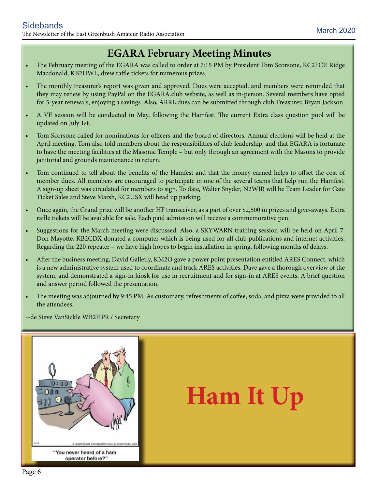### **EGARA February Meeting Minutes**

- The February meeting of the EGARA was called to order at 7:15 PM by President Tom Scorsone, KC2FCP. Ridge Macdonald, KB2HWL, drew raffle tickets for numerous prizes.
- The monthly treasurer's report was given and approved. Dues were accepted, and members were reminded that they may renew by using PayPal on the EGARA.club website, as well as in-person. Several members have opted for 5-year renewals, enjoying a savings. Also, ARRL dues can be submitted through club Treasurer, Bryan Jackson.
- A VE session will be conducted in May, following the Hamfest. The current Extra class question pool will be updated on July 1st.
- Tom Scorsone called for nominations for officers and the board of directors. Annual elections will be held at the April meeting. Tom also told members about the responsibilities of club leadership, and that EGARA is fortunate to have the meeting facilities at the Masonic Temple – but only through an agreement with the Masons to provide janitorial and grounds maintenance in return.
- Tom continued to tell about the benefits of the Hamfest and that the money earned helps to offset the cost of member dues. All members are encouraged to participate in one of the several teams that help run the Hamfest. A sign-up sheet was circulated for members to sign. To date, Walter Snyder, N2WJR will be Team Leader for Gate Ticket Sales and Steve Marsh, KC2USX will head up parking.
- Once again, the Grand prize will be another HF transceiver, as a part of over \$2,500 in prizes and give-aways. Extra raffle tickets will be available for sale. Each paid admission will receive a commemorative pen.
- Suggestions for the March meeting were discussed. Also, a SKYWARN training session will be held on April 7. Don Mayotte, KB2CDX donated a computer which is being used for all club publications and internet activities. Regarding the 220 repeater – we have high hopes to begin installation in spring, following months of delays.
- After the business meeting, David Galletly, KM2O gave a power point presentation entitled ARES Connect, which is a new administrative system used to coordinate and track ARES activities. Dave gave a thorough overview of the system, and demonstrated a sign-in kiosk for use in recruitment and for sign-in at ARES events. A brief question and answer period followed the presentation.
- The meeting was adjourned by 9:45 PM. As customary, refreshments of coffee, soda, and pizza were provided to all the attendees.

--de Steve VanSickle WB2HPR / Secretary



# **Ham It Up**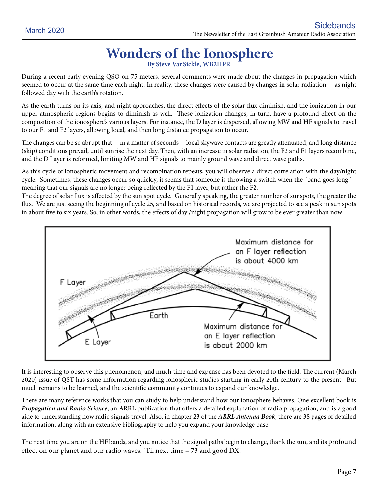# Wonders of the Ionosphere

During a recent early evening QSO on 75 meters, several comments were made about the changes in propagation which seemed to occur at the same time each night. In reality, these changes were caused by changes in solar radiation -- as night followed day with the earth's rotation.

As the earth turns on its axis, and night approaches, the direct effects of the solar flux diminish, and the ionization in our upper atmospheric regions begins to diminish as well. These ionization changes, in turn, have a profound effect on the composition of the ionosphere's various layers. For instance, the D layer is dispersed, allowing MW and HF signals to travel to our F1 and F2 layers, allowing local, and then long distance propagation to occur.

The changes can be so abrupt that -- in a matter of seconds -- local skywave contacts are greatly attenuated, and long distance (skip) conditions prevail, until sunrise the next day. Then, with an increase in solar radiation, the F2 and F1 layers recombine, and the D Layer is reformed, limiting MW and HF signals to mainly ground wave and direct wave paths.

As this cycle of ionospheric movement and recombination repeats, you will observe a direct correlation with the day/night cycle. Sometimes, these changes occur so quickly, it seems that someone is throwing a switch when the "band goes long" – meaning that our signals are no longer being reflected by the F1 layer, but rather the F2.

The degree of solar flux is affected by the sun spot cycle. Generally speaking, the greater number of sunspots, the greater the flux. We are just seeing the beginning of cycle 25, and based on historical records, we are projected to see a peak in sun spots in about five to six years. So, in other words, the effects of day /night propagation will grow to be ever greater than now.



It is interesting to observe this phenomenon, and much time and expense has been devoted to the field. The current (March 2020) issue of QST has some information regarding ionospheric studies starting in early 20th century to the present. But much remains to be learned, and the scientific community continues to expand our knowledge.

There are many reference works that you can study to help understand how our ionosphere behaves. One excellent book is *Propagation and Radio Science*, an ARRL publication that offers a detailed explanation of radio propagation, and is a good aide to understanding how radio signals travel. Also, in chapter 23 of the *ARRL Antenna Book*, there are 38 pages of detailed information, along with an extensive bibliography to help you expand your knowledge base.

The next time you are on the HF bands, and you notice that the signal paths begin to change, thank the sun, and its profound effect on our planet and our radio waves. 'Til next time – 73 and good DX!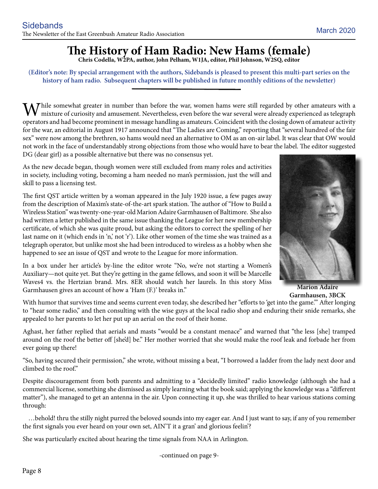## **The History of Ham Radio: New Hams (female)**

**Chris Codella, W2PA, author, John Pelham, W1JA, editor, Phil Johnson, W2SQ, editor**

**(Editor's note: By special arrangement with the authors, Sidebands is pleased to present this multi-part series on the history of ham radio. Subsequent chapters will be published in future monthly editions of the newsletter)**

Thile somewhat greater in number than before the war, women hams were still regarded by other amateurs with a mixture of curiosity and amusement. Nevertheless, even before the war several were already experienced as telegraph operators and had become prominent in message handling as amateurs. Coincident with the closing down of amateur activity for the war, an editorial in August 1917 announced that "The Ladies are Coming," reporting that "several hundred of the fair sex" were now among the brethren, so hams would need an alternative to OM as an on-air label. It was clear that OW would not work in the face of understandably strong objections from those who would have to bear the label. The editor suggested DG (dear girl) as a possible alternative but there was no consensus yet.

As the new decade began, though women were still excluded from many roles and activities in society, including voting, becoming a ham needed no man's permission, just the will and skill to pass a licensing test.

The first QST article written by a woman appeared in the July 1920 issue, a few pages away from the description of Maxim's state-of-the-art spark station. The author of "How to Build a Wireless Station" was twenty-one-year-old Marion Adaire Garmhausen of Baltimore. She also had written a letter published in the same issue thanking the League for her new membership certificate, of which she was quite proud, but asking the editors to correct the spelling of her last name on it (which ends in 'n,' not 'r'). Like other women of the time she was trained as a telegraph operator, but unlike most she had been introduced to wireless as a hobby when she happened to see an issue of QST and wrote to the League for more information.

In a box under her article's by-line the editor wrote "No, we're not starting a Women's Auxiliary—not quite yet. But they're getting in the game fellows, and soon it will be Marcelle Waves4 vs. the Hertzian brand. Mrs. 8ER should watch her laurels. In this story Miss Garmhausen gives an account of how a 'Ham (F.)' breaks in."



**Marion Adaire Garmhausen, 3BCK**

With humor that survives time and seems current even today, she described her "efforts to 'get into the game.'" After longing to "hear some radio," and then consulting with the wise guys at the local radio shop and enduring their snide remarks, she appealed to her parents to let her put up an aerial on the roof of their home.

Aghast, her father replied that aerials and masts "would be a constant menace" and warned that "the less [she] tramped around on the roof the better off [she'd] be." Her mother worried that she would make the roof leak and forbade her from ever going up there!

"So, having secured their permission," she wrote, without missing a beat, "I borrowed a ladder from the lady next door and climbed to the roof."

Despite discouragement from both parents and admitting to a "decidedly limited" radio knowledge (although she had a commercial license, something she dismissed as simply learning what the book said; applying the knowledge was a "different matter"), she managed to get an antenna in the air. Upon connecting it up, she was thrilled to hear various stations coming through:

 …behold! thru the stilly night purred the beloved sounds into my eager ear. And I just want to say, if any of you remember the first signals you ever heard on your own set, AIN'T it a gran' and glorious feelin'?

She was particularly excited about hearing the time signals from NAA in Arlington.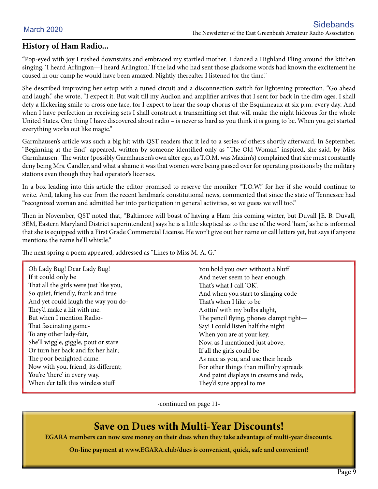### **History of Ham Radio...**

"Pop-eyed with joy I rushed downstairs and embraced my startled mother. I danced a Highland Fling around the kitchen singing, 'I heard Arlington—I heard Arlington.' If the lad who had sent those gladsome words had known the excitement he caused in our camp he would have been amazed. Nightly thereafter I listened for the time."

She described improving her setup with a tuned circuit and a disconnection switch for lightening protection. "Go ahead and laugh," she wrote, "I expect it. But wait till my Audion and amplifier arrives that I sent for back in the dim ages. I shall defy a flickering smile to cross one face, for I expect to hear the soup chorus of the Esquimeaux at six p.m. every day. And when I have perfection in receiving sets I shall construct a transmitting set that will make the night hideous for the whole United States. One thing I have discovered about radio – is never as hard as you think it is going to be. When you get started everything works out like magic."

Garmhausen's article was such a big hit with QST readers that it led to a series of others shortly afterward. In September, "Beginning at the End" appeared, written by someone identified only as "The Old Woman" inspired, she said, by Miss Garmhausen. The writer (possibly Garmhausen's own alter ego, as T.O.M. was Maxim's) complained that she must constantly deny being Mrs. Candler, and what a shame it was that women were being passed over for operating positions by the military stations even though they had operator's licenses.

In a box leading into this article the editor promised to reserve the moniker "T.O.W." for her if she would continue to write. And, taking his cue from the recent landmark constitutional news, commented that since the state of Tennessee had "recognized woman and admitted her into participation in general activities, so we guess we will too."

Then in November, QST noted that, "Baltimore will boast of having a Ham this coming winter, but Duvall [E. B. Duvall, 3EM, Eastern Maryland District superintendent] says he is a little skeptical as to the use of the word 'ham,' as he is informed that she is equipped with a First Grade Commercial License. He won't give out her name or call letters yet, but says if anyone mentions the name he'll whistle."

| Oh Lady Bug! Dear Lady Bug!            | You hold you own without a bluff        |
|----------------------------------------|-----------------------------------------|
| If it could only be                    | And never seem to hear enough.          |
| That all the girls were just like you, | That's what I call 'OK'.                |
| So quiet, friendly, frank and true     | And when you start to slinging code     |
| And yet could laugh the way you do-    | That's when I like to be                |
| They'd make a hit with me.             | Asittin' with my bulbs alight,          |
| But when I mention Radio-              | The pencil flying, phones clampt tight- |
| That fascinating game-                 | Say! I could listen half the night      |
| To any other lady-fair,                | When you are at your key.               |
| She'll wiggle, giggle, pout or stare   | Now, as I mentioned just above,         |
| Or turn her back and fix her hair;     | If all the girls could be               |
| The poor benighted dame.               | As nice as you, and use their heads     |
| Now with you, friend, its different;   | For other things than millin'ry spreads |
| You're 'there' in every way.           | And paint displays in creams and reds,  |
| When e'er talk this wireless stuff     | They'd sure appeal to me                |

The next spring a poem appeared, addressed as "Lines to Miss M. A. G."

-continued on page 11-

### **Save on Dues with Multi-Year Discounts!**

**EGARA members can now save money on their dues when they take advantage of multi-year discounts.**

**On-line payment at www.EGARA.club/dues is convenient, quick, safe and convenient!**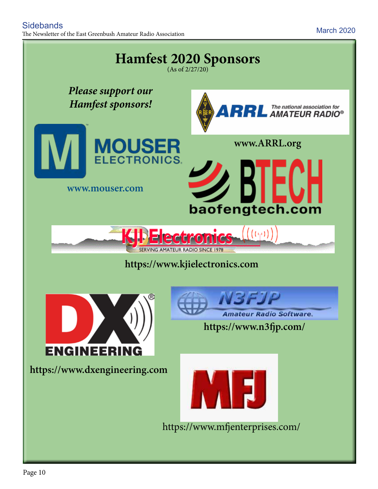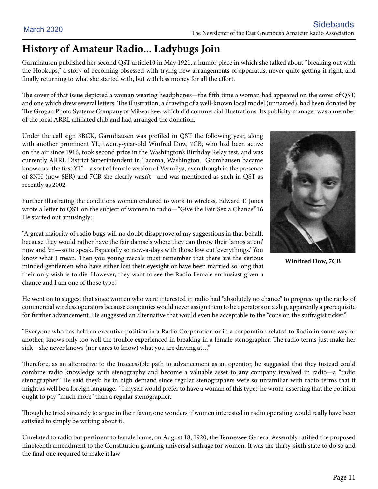### **History of Amateur Radio... Ladybugs Join**

Garmhausen published her second QST article10 in May 1921, a humor piece in which she talked about "breaking out with the Hookups," a story of becoming obsessed with trying new arrangements of apparatus, never quite getting it right, and finally returning to what she started with, but with less money for all the effort.

The cover of that issue depicted a woman wearing headphones—the fifth time a woman had appeared on the cover of QST, and one which drew several letters. The illustration, a drawing of a well-known local model (unnamed), had been donated by The Grogan Photo Systems Company of Milwaukee, which did commercial illustrations. Its publicity manager was a member of the local ARRL affiliated club and had arranged the donation.

Under the call sign 3BCK, Garmhausen was profiled in QST the following year, along with another prominent YL, twenty-year-old Winfred Dow, 7CB, who had been active on the air since 1916, took second prize in the Washington's Birthday Relay test, and was currently ARRL District Superintendent in Tacoma, Washington. Garmhausen bacame known as "the first YL"—a sort of female version of Vermilya, even though in the presence of 8NH (now 8ER) and 7CB she clearly wasn't—and was mentioned as such in QST as recently as 2002.

Further illustrating the conditions women endured to work in wireless, Edward T. Jones wrote a letter to QST on the subject of women in radio—"Give the Fair Sex a Chance."16 He started out amusingly:

"A great majority of radio bugs will no doubt disapprove of my suggestions in that behalf, because they would rather have the fair damsels where they can throw their lamps at em' now and 'en—so to speak. Especially so now-a-days with those low cut 'everythings.' You know what I mean. Then you young rascals must remember that there are the serious minded gentlemen who have either lost their eyesight or have been married so long that their only wish is to die. However, they want to see the Radio Female enthusiast given a chance and I am one of those type."



**Winifred Dow, 7CB**

He went on to suggest that since women who were interested in radio had "absolutely no chance" to progress up the ranks of commercial wireless operators because companies would never assign them to be operators on a ship, apparently a prerequisite for further advancement. He suggested an alternative that would even be acceptable to the "cons on the suffragist ticket."

"Everyone who has held an executive position in a Radio Corporation or in a corporation related to Radio in some way or another, knows only too well the trouble experienced in breaking in a female stenographer. The radio terms just make her sick—she never knows (nor cares to know) what you are driving at…"

Therefore, as an alternative to the inaccessible path to advancement as an operator, he suggested that they instead could combine radio knowledge with stenography and become a valuable asset to any company involved in radio—a "radio stenographer." He said they'd be in high demand since regular stenographers were so unfamiliar with radio terms that it might as well be a foreign language. "I myself would prefer to have a woman of this type," he wrote, asserting that the position ought to pay "much more" than a regular stenographer.

Though he tried sincerely to argue in their favor, one wonders if women interested in radio operating would really have been satisfied to simply be writing about it.

Unrelated to radio but pertinent to female hams, on August 18, 1920, the Tennessee General Assembly ratified the proposed nineteenth amendment to the Constitution granting universal suffrage for women. It was the thirty-sixth state to do so and the final one required to make it law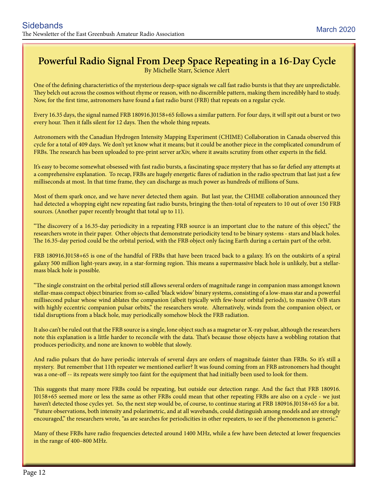### **Powerful Radio Signal From Deep Space Repeating in a 16-Day Cycle**

By Michelle Starr, Science Alert

One of the defining characteristics of the mysterious deep-space signals we call fast radio bursts is that they are unpredictable. They belch out across the cosmos without rhyme or reason, with no discernible pattern, making them incredibly hard to study. Now, for the first time, astronomers have found a fast radio burst (FRB) that repeats on a regular cycle.

Every 16.35 days, the signal named FRB 180916.J0158+65 follows a similar pattern. For four days, it will spit out a burst or two every hour. Then it falls silent for 12 days. Then the whole thing repeats.

Astronomers with the Canadian Hydrogen Intensity Mapping Experiment (CHIME) Collaboration in Canada observed this cycle for a total of 409 days. We don't yet know what it means; but it could be another piece in the complicated conundrum of FRBs. The research has been uploaded to pre-print server arXiv, where it awaits scrutiny from other experts in the field.

It's easy to become somewhat obsessed with fast radio bursts, a fascinating space mystery that has so far defied any attempts at a comprehensive explanation. To recap, FRBs are hugely energetic flares of radiation in the radio spectrum that last just a few milliseconds at most. In that time frame, they can discharge as much power as hundreds of millions of Suns.

Most of them spark once, and we have never detected them again. But last year, the CHIME collaboration announced they had detected a whopping eight new repeating fast radio bursts, bringing the then-total of repeaters to 10 out of over 150 FRB sources. (Another paper recently brought that total up to 11).

"The discovery of a 16.35-day periodicity in a repeating FRB source is an important clue to the nature of this object," the researchers wrote in their paper. Other objects that demonstrate periodicity tend to be binary systems - stars and black holes. The 16.35-day period could be the orbital period, with the FRB object only facing Earth during a certain part of the orbit.

FRB 180916.J0158+65 is one of the handful of FRBs that have been traced back to a galaxy. It's on the outskirts of a spiral galaxy 500 million light-years away, in a star-forming region. This means a supermassive black hole is unlikely, but a stellarmass black hole is possible.

"The single constraint on the orbital period still allows several orders of magnitude range in companion mass amongst known stellar-mass compact object binaries: from so-called 'black widow' binary systems, consisting of a low-mass star and a powerful millisecond pulsar whose wind ablates the companion (albeit typically with few-hour orbital periods), to massive O/B stars with highly eccentric companion pulsar orbits," the researchers wrote. Alternatively, winds from the companion object, or tidal disruptions from a black hole, may periodically somehow block the FRB radiation.

It also can't be ruled out that the FRB source is a single, lone object such as a magnetar or X-ray pulsar, although the researchers note this explanation is a little harder to reconcile with the data. That's because those objects have a wobbling rotation that produces periodicity, and none are known to wobble that slowly.

And radio pulsars that do have periodic intervals of several days are orders of magnitude fainter than FRBs. So it's still a mystery. But remember that 11th repeater we mentioned earlier? It was found coming from an FRB astronomers had thought was a one-off -- its repeats were simply too faint for the equipment that had initially been used to look for them.

This suggests that many more FRBs could be repeating, but outside our detection range. And the fact that FRB 180916. J0158+65 seemed more or less the same as other FRBs could mean that other repeating FRBs are also on a cycle - we just haven't detected those cycles yet. So, the next step would be, of course, to continue staring at FRB 180916.J0158+65 for a bit. "Future observations, both intensity and polarimetric, and at all wavebands, could distinguish among models and are strongly encouraged," the researchers wrote, "as are searches for periodicities in other repeaters, to see if the phenomenon is generic."

Many of these FRBs have radio frequencies detected around 1400 MHz, while a few have been detected at lower frequencies in the range of 400–800 MHz.